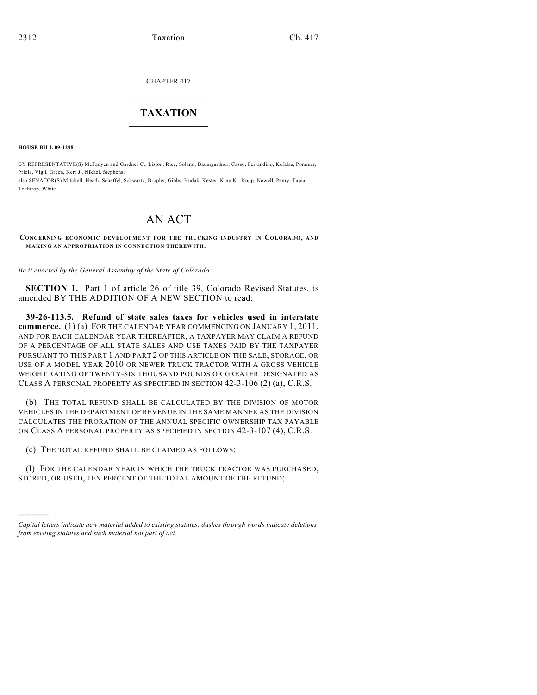CHAPTER 417

## $\overline{\phantom{a}}$  . The set of the set of the set of the set of the set of the set of the set of the set of the set of the set of the set of the set of the set of the set of the set of the set of the set of the set of the set o **TAXATION**  $\_$

**HOUSE BILL 09-1298**

)))))

BY REPRESENTATIVE(S) McFadyen and Gardner C., Liston, Rice, Solano, Baumgardner, Casso, Ferrandino, Kefalas, Pommer, Priola, Vigil, Green, Kerr J., Nikkel, Stephens; also SENATOR(S) Mitchell, Heath, Scheffel, Schwartz, Brophy, Gibbs, Hudak, Kester, King K., Kopp, Newell, Penry, Tapia, Tochtrop, White.

# AN ACT

**CONCERNING ECONOMIC DEVELOPMENT FOR THE TRUCKING INDUSTRY IN COLORADO, AND MAKING AN APPROPRIATION IN CONNECTION THEREWITH.**

*Be it enacted by the General Assembly of the State of Colorado:*

**SECTION 1.** Part 1 of article 26 of title 39, Colorado Revised Statutes, is amended BY THE ADDITION OF A NEW SECTION to read:

**39-26-113.5. Refund of state sales taxes for vehicles used in interstate commerce.** (1) (a) FOR THE CALENDAR YEAR COMMENCING ON JANUARY 1, 2011, AND FOR EACH CALENDAR YEAR THEREAFTER, A TAXPAYER MAY CLAIM A REFUND OF A PERCENTAGE OF ALL STATE SALES AND USE TAXES PAID BY THE TAXPAYER PURSUANT TO THIS PART 1 AND PART 2 OF THIS ARTICLE ON THE SALE, STORAGE, OR USE OF A MODEL YEAR 2010 OR NEWER TRUCK TRACTOR WITH A GROSS VEHICLE WEIGHT RATING OF TWENTY-SIX THOUSAND POUNDS OR GREATER DESIGNATED AS CLASS A PERSONAL PROPERTY AS SPECIFIED IN SECTION 42-3-106 (2) (a), C.R.S.

(b) THE TOTAL REFUND SHALL BE CALCULATED BY THE DIVISION OF MOTOR VEHICLES IN THE DEPARTMENT OF REVENUE IN THE SAME MANNER AS THE DIVISION CALCULATES THE PRORATION OF THE ANNUAL SPECIFIC OWNERSHIP TAX PAYABLE ON CLASS A PERSONAL PROPERTY AS SPECIFIED IN SECTION 42-3-107 (4), C.R.S.

(c) THE TOTAL REFUND SHALL BE CLAIMED AS FOLLOWS:

(I) FOR THE CALENDAR YEAR IN WHICH THE TRUCK TRACTOR WAS PURCHASED, STORED, OR USED, TEN PERCENT OF THE TOTAL AMOUNT OF THE REFUND;

*Capital letters indicate new material added to existing statutes; dashes through words indicate deletions from existing statutes and such material not part of act.*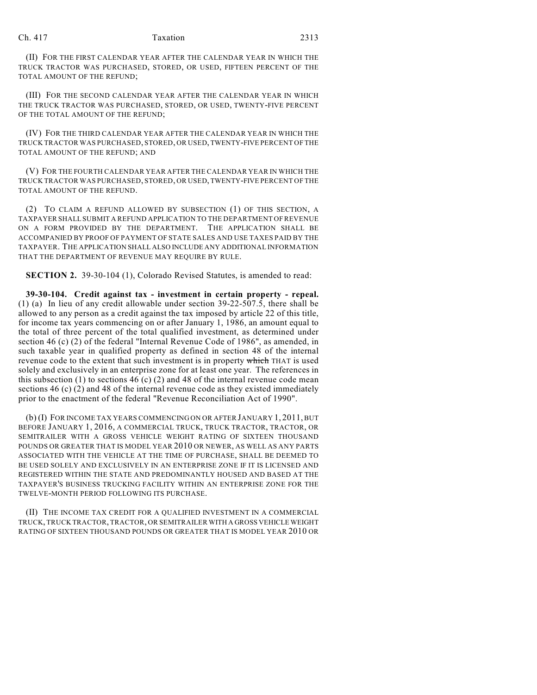(II) FOR THE FIRST CALENDAR YEAR AFTER THE CALENDAR YEAR IN WHICH THE TRUCK TRACTOR WAS PURCHASED, STORED, OR USED, FIFTEEN PERCENT OF THE TOTAL AMOUNT OF THE REFUND;

(III) FOR THE SECOND CALENDAR YEAR AFTER THE CALENDAR YEAR IN WHICH THE TRUCK TRACTOR WAS PURCHASED, STORED, OR USED, TWENTY-FIVE PERCENT OF THE TOTAL AMOUNT OF THE REFUND;

(IV) FOR THE THIRD CALENDAR YEAR AFTER THE CALENDAR YEAR IN WHICH THE TRUCK TRACTOR WAS PURCHASED, STORED, OR USED, TWENTY-FIVE PERCENT OF THE TOTAL AMOUNT OF THE REFUND; AND

(V) FOR THE FOURTH CALENDAR YEAR AFTER THE CALENDAR YEAR IN WHICH THE TRUCK TRACTOR WAS PURCHASED, STORED, OR USED, TWENTY-FIVE PERCENT OF THE TOTAL AMOUNT OF THE REFUND.

(2) TO CLAIM A REFUND ALLOWED BY SUBSECTION (1) OF THIS SECTION, A TAXPAYER SHALL SUBMIT A REFUND APPLICATION TO THE DEPARTMENT OF REVENUE ON A FORM PROVIDED BY THE DEPARTMENT. THE APPLICATION SHALL BE ACCOMPANIED BY PROOF OF PAYMENT OF STATE SALES AND USE TAXES PAID BY THE TAXPAYER. THE APPLICATION SHALL ALSO INCLUDE ANY ADDITIONAL INFORMATION THAT THE DEPARTMENT OF REVENUE MAY REQUIRE BY RULE.

**SECTION 2.** 39-30-104 (1), Colorado Revised Statutes, is amended to read:

**39-30-104. Credit against tax - investment in certain property - repeal.** (1) (a) In lieu of any credit allowable under section 39-22-507.5, there shall be allowed to any person as a credit against the tax imposed by article 22 of this title, for income tax years commencing on or after January 1, 1986, an amount equal to the total of three percent of the total qualified investment, as determined under section 46 (c) (2) of the federal "Internal Revenue Code of 1986", as amended, in such taxable year in qualified property as defined in section 48 of the internal revenue code to the extent that such investment is in property which THAT is used solely and exclusively in an enterprise zone for at least one year. The references in this subsection (1) to sections 46 (c) (2) and 48 of the internal revenue code mean sections 46 (c) (2) and 48 of the internal revenue code as they existed immediately prior to the enactment of the federal "Revenue Reconciliation Act of 1990".

(b) (I) FOR INCOME TAX YEARS COMMENCING ON OR AFTER JANUARY 1, 2011, BUT BEFORE JANUARY 1, 2016, A COMMERCIAL TRUCK, TRUCK TRACTOR, TRACTOR, OR SEMITRAILER WITH A GROSS VEHICLE WEIGHT RATING OF SIXTEEN THOUSAND POUNDS OR GREATER THAT IS MODEL YEAR 2010 OR NEWER, AS WELL AS ANY PARTS ASSOCIATED WITH THE VEHICLE AT THE TIME OF PURCHASE, SHALL BE DEEMED TO BE USED SOLELY AND EXCLUSIVELY IN AN ENTERPRISE ZONE IF IT IS LICENSED AND REGISTERED WITHIN THE STATE AND PREDOMINANTLY HOUSED AND BASED AT THE TAXPAYER'S BUSINESS TRUCKING FACILITY WITHIN AN ENTERPRISE ZONE FOR THE TWELVE-MONTH PERIOD FOLLOWING ITS PURCHASE.

(II) THE INCOME TAX CREDIT FOR A QUALIFIED INVESTMENT IN A COMMERCIAL TRUCK, TRUCK TRACTOR, TRACTOR, OR SEMITRAILER WITH A GROSS VEHICLE WEIGHT RATING OF SIXTEEN THOUSAND POUNDS OR GREATER THAT IS MODEL YEAR 2010 OR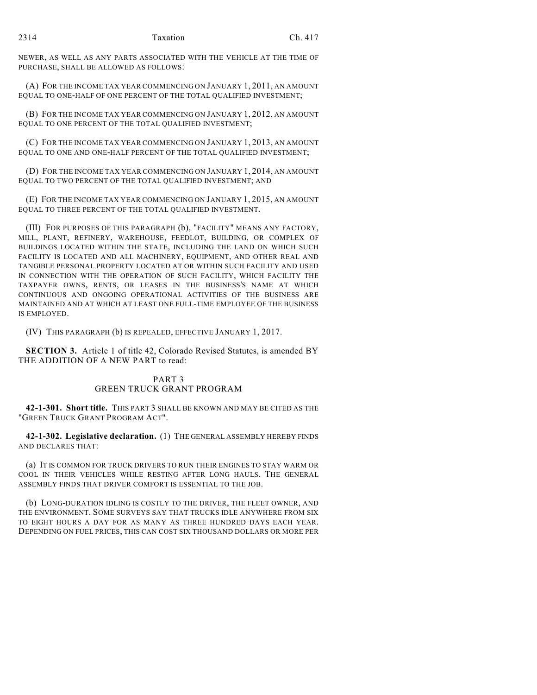NEWER, AS WELL AS ANY PARTS ASSOCIATED WITH THE VEHICLE AT THE TIME OF PURCHASE, SHALL BE ALLOWED AS FOLLOWS:

(A) FOR THE INCOME TAX YEAR COMMENCING ON JANUARY 1, 2011, AN AMOUNT EQUAL TO ONE-HALF OF ONE PERCENT OF THE TOTAL QUALIFIED INVESTMENT;

(B) FOR THE INCOME TAX YEAR COMMENCING ON JANUARY 1, 2012, AN AMOUNT EQUAL TO ONE PERCENT OF THE TOTAL QUALIFIED INVESTMENT;

(C) FOR THE INCOME TAX YEAR COMMENCING ON JANUARY 1, 2013, AN AMOUNT EQUAL TO ONE AND ONE-HALF PERCENT OF THE TOTAL QUALIFIED INVESTMENT;

(D) FOR THE INCOME TAX YEAR COMMENCING ON JANUARY 1, 2014, AN AMOUNT EQUAL TO TWO PERCENT OF THE TOTAL QUALIFIED INVESTMENT; AND

(E) FOR THE INCOME TAX YEAR COMMENCING ON JANUARY 1, 2015, AN AMOUNT EQUAL TO THREE PERCENT OF THE TOTAL QUALIFIED INVESTMENT.

(III) FOR PURPOSES OF THIS PARAGRAPH (b), "FACILITY" MEANS ANY FACTORY, MILL, PLANT, REFINERY, WAREHOUSE, FEEDLOT, BUILDING, OR COMPLEX OF BUILDINGS LOCATED WITHIN THE STATE, INCLUDING THE LAND ON WHICH SUCH FACILITY IS LOCATED AND ALL MACHINERY, EQUIPMENT, AND OTHER REAL AND TANGIBLE PERSONAL PROPERTY LOCATED AT OR WITHIN SUCH FACILITY AND USED IN CONNECTION WITH THE OPERATION OF SUCH FACILITY, WHICH FACILITY THE TAXPAYER OWNS, RENTS, OR LEASES IN THE BUSINESS'S NAME AT WHICH CONTINUOUS AND ONGOING OPERATIONAL ACTIVITIES OF THE BUSINESS ARE MAINTAINED AND AT WHICH AT LEAST ONE FULL-TIME EMPLOYEE OF THE BUSINESS IS EMPLOYED.

(IV) THIS PARAGRAPH (b) IS REPEALED, EFFECTIVE JANUARY 1, 2017.

**SECTION 3.** Article 1 of title 42, Colorado Revised Statutes, is amended BY THE ADDITION OF A NEW PART to read:

### PART 3 GREEN TRUCK GRANT PROGRAM

**42-1-301. Short title.** THIS PART 3 SHALL BE KNOWN AND MAY BE CITED AS THE "GREEN TRUCK GRANT PROGRAM ACT".

**42-1-302. Legislative declaration.** (1) THE GENERAL ASSEMBLY HEREBY FINDS AND DECLARES THAT:

(a) IT IS COMMON FOR TRUCK DRIVERS TO RUN THEIR ENGINES TO STAY WARM OR COOL IN THEIR VEHICLES WHILE RESTING AFTER LONG HAULS. THE GENERAL ASSEMBLY FINDS THAT DRIVER COMFORT IS ESSENTIAL TO THE JOB.

(b) LONG-DURATION IDLING IS COSTLY TO THE DRIVER, THE FLEET OWNER, AND THE ENVIRONMENT. SOME SURVEYS SAY THAT TRUCKS IDLE ANYWHERE FROM SIX TO EIGHT HOURS A DAY FOR AS MANY AS THREE HUNDRED DAYS EACH YEAR. DEPENDING ON FUEL PRICES, THIS CAN COST SIX THOUSAND DOLLARS OR MORE PER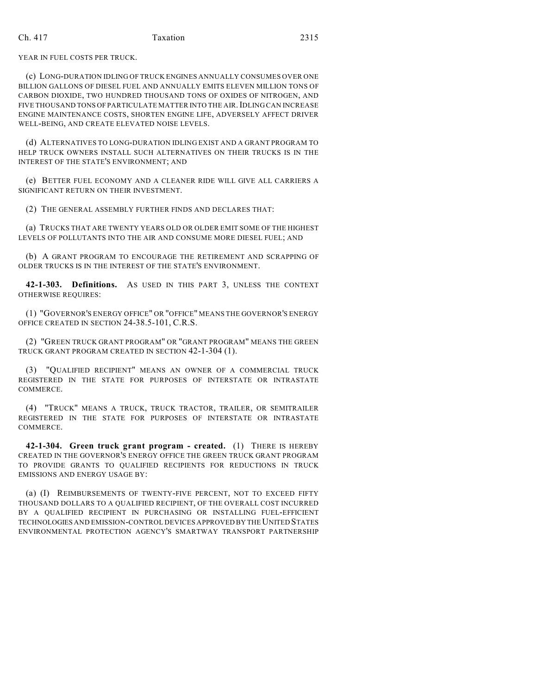#### Ch. 417 Taxation 2315

YEAR IN FUEL COSTS PER TRUCK.

(c) LONG-DURATION IDLING OF TRUCK ENGINES ANNUALLY CONSUMES OVER ONE BILLION GALLONS OF DIESEL FUEL AND ANNUALLY EMITS ELEVEN MILLION TONS OF CARBON DIOXIDE, TWO HUNDRED THOUSAND TONS OF OXIDES OF NITROGEN, AND FIVE THOUSAND TONS OF PARTICULATE MATTER INTO THE AIR.IDLING CAN INCREASE ENGINE MAINTENANCE COSTS, SHORTEN ENGINE LIFE, ADVERSELY AFFECT DRIVER WELL-BEING, AND CREATE ELEVATED NOISE LEVELS.

(d) ALTERNATIVES TO LONG-DURATION IDLING EXIST AND A GRANT PROGRAM TO HELP TRUCK OWNERS INSTALL SUCH ALTERNATIVES ON THEIR TRUCKS IS IN THE INTEREST OF THE STATE'S ENVIRONMENT; AND

(e) BETTER FUEL ECONOMY AND A CLEANER RIDE WILL GIVE ALL CARRIERS A SIGNIFICANT RETURN ON THEIR INVESTMENT.

(2) THE GENERAL ASSEMBLY FURTHER FINDS AND DECLARES THAT:

(a) TRUCKS THAT ARE TWENTY YEARS OLD OR OLDER EMIT SOME OF THE HIGHEST LEVELS OF POLLUTANTS INTO THE AIR AND CONSUME MORE DIESEL FUEL; AND

(b) A GRANT PROGRAM TO ENCOURAGE THE RETIREMENT AND SCRAPPING OF OLDER TRUCKS IS IN THE INTEREST OF THE STATE'S ENVIRONMENT.

**42-1-303. Definitions.** AS USED IN THIS PART 3, UNLESS THE CONTEXT OTHERWISE REQUIRES:

(1) "GOVERNOR'S ENERGY OFFICE" OR "OFFICE" MEANS THE GOVERNOR'S ENERGY OFFICE CREATED IN SECTION 24-38.5-101, C.R.S.

(2) "GREEN TRUCK GRANT PROGRAM" OR "GRANT PROGRAM" MEANS THE GREEN TRUCK GRANT PROGRAM CREATED IN SECTION 42-1-304 (1).

(3) "QUALIFIED RECIPIENT" MEANS AN OWNER OF A COMMERCIAL TRUCK REGISTERED IN THE STATE FOR PURPOSES OF INTERSTATE OR INTRASTATE COMMERCE.

(4) "TRUCK" MEANS A TRUCK, TRUCK TRACTOR, TRAILER, OR SEMITRAILER REGISTERED IN THE STATE FOR PURPOSES OF INTERSTATE OR INTRASTATE COMMERCE.

**42-1-304. Green truck grant program - created.** (1) THERE IS HEREBY CREATED IN THE GOVERNOR'S ENERGY OFFICE THE GREEN TRUCK GRANT PROGRAM TO PROVIDE GRANTS TO QUALIFIED RECIPIENTS FOR REDUCTIONS IN TRUCK EMISSIONS AND ENERGY USAGE BY:

(a) (I) REIMBURSEMENTS OF TWENTY-FIVE PERCENT, NOT TO EXCEED FIFTY THOUSAND DOLLARS TO A QUALIFIED RECIPIENT, OF THE OVERALL COST INCURRED BY A QUALIFIED RECIPIENT IN PURCHASING OR INSTALLING FUEL-EFFICIENT TECHNOLOGIES AND EMISSION-CONTROL DEVICES APPROVED BY THE UNITED STATES ENVIRONMENTAL PROTECTION AGENCY'S SMARTWAY TRANSPORT PARTNERSHIP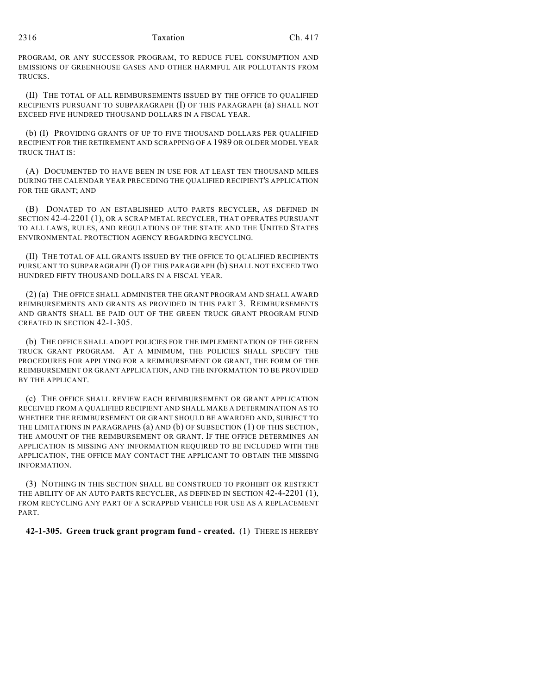PROGRAM, OR ANY SUCCESSOR PROGRAM, TO REDUCE FUEL CONSUMPTION AND EMISSIONS OF GREENHOUSE GASES AND OTHER HARMFUL AIR POLLUTANTS FROM TRUCKS.

(II) THE TOTAL OF ALL REIMBURSEMENTS ISSUED BY THE OFFICE TO QUALIFIED RECIPIENTS PURSUANT TO SUBPARAGRAPH (I) OF THIS PARAGRAPH (a) SHALL NOT EXCEED FIVE HUNDRED THOUSAND DOLLARS IN A FISCAL YEAR.

(b) (I) PROVIDING GRANTS OF UP TO FIVE THOUSAND DOLLARS PER QUALIFIED RECIPIENT FOR THE RETIREMENT AND SCRAPPING OF A 1989 OR OLDER MODEL YEAR TRUCK THAT IS:

(A) DOCUMENTED TO HAVE BEEN IN USE FOR AT LEAST TEN THOUSAND MILES DURING THE CALENDAR YEAR PRECEDING THE QUALIFIED RECIPIENT'S APPLICATION FOR THE GRANT; AND

(B) DONATED TO AN ESTABLISHED AUTO PARTS RECYCLER, AS DEFINED IN SECTION 42-4-2201 (1), OR A SCRAP METAL RECYCLER, THAT OPERATES PURSUANT TO ALL LAWS, RULES, AND REGULATIONS OF THE STATE AND THE UNITED STATES ENVIRONMENTAL PROTECTION AGENCY REGARDING RECYCLING.

(II) THE TOTAL OF ALL GRANTS ISSUED BY THE OFFICE TO QUALIFIED RECIPIENTS PURSUANT TO SUBPARAGRAPH (I) OF THIS PARAGRAPH (b) SHALL NOT EXCEED TWO HUNDRED FIFTY THOUSAND DOLLARS IN A FISCAL YEAR.

(2) (a) THE OFFICE SHALL ADMINISTER THE GRANT PROGRAM AND SHALL AWARD REIMBURSEMENTS AND GRANTS AS PROVIDED IN THIS PART 3. REIMBURSEMENTS AND GRANTS SHALL BE PAID OUT OF THE GREEN TRUCK GRANT PROGRAM FUND CREATED IN SECTION 42-1-305.

(b) THE OFFICE SHALL ADOPT POLICIES FOR THE IMPLEMENTATION OF THE GREEN TRUCK GRANT PROGRAM. AT A MINIMUM, THE POLICIES SHALL SPECIFY THE PROCEDURES FOR APPLYING FOR A REIMBURSEMENT OR GRANT, THE FORM OF THE REIMBURSEMENT OR GRANT APPLICATION, AND THE INFORMATION TO BE PROVIDED BY THE APPLICANT.

(c) THE OFFICE SHALL REVIEW EACH REIMBURSEMENT OR GRANT APPLICATION RECEIVED FROM A QUALIFIED RECIPIENT AND SHALL MAKE A DETERMINATION AS TO WHETHER THE REIMBURSEMENT OR GRANT SHOULD BE AWARDED AND, SUBJECT TO THE LIMITATIONS IN PARAGRAPHS (a) AND (b) OF SUBSECTION (1) OF THIS SECTION, THE AMOUNT OF THE REIMBURSEMENT OR GRANT. IF THE OFFICE DETERMINES AN APPLICATION IS MISSING ANY INFORMATION REQUIRED TO BE INCLUDED WITH THE APPLICATION, THE OFFICE MAY CONTACT THE APPLICANT TO OBTAIN THE MISSING INFORMATION.

(3) NOTHING IN THIS SECTION SHALL BE CONSTRUED TO PROHIBIT OR RESTRICT THE ABILITY OF AN AUTO PARTS RECYCLER, AS DEFINED IN SECTION 42-4-2201 (1), FROM RECYCLING ANY PART OF A SCRAPPED VEHICLE FOR USE AS A REPLACEMENT PART.

**42-1-305. Green truck grant program fund - created.** (1) THERE IS HEREBY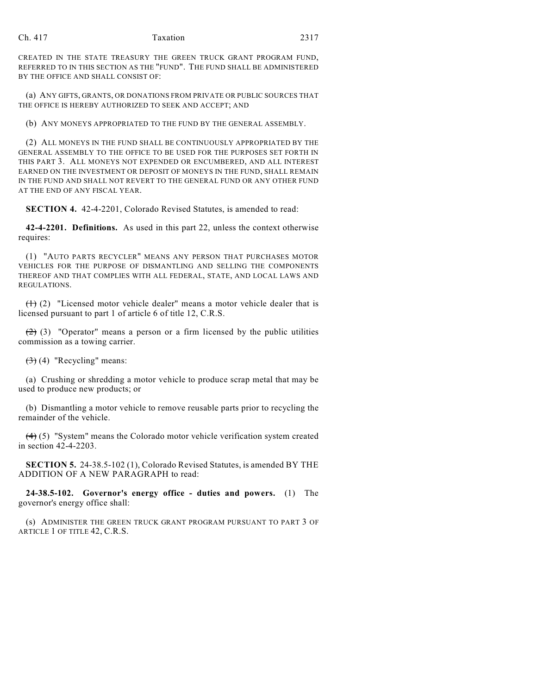#### Ch. 417 Taxation 2317

CREATED IN THE STATE TREASURY THE GREEN TRUCK GRANT PROGRAM FUND, REFERRED TO IN THIS SECTION AS THE "FUND". THE FUND SHALL BE ADMINISTERED BY THE OFFICE AND SHALL CONSIST OF:

(a) ANY GIFTS, GRANTS, OR DONATIONS FROM PRIVATE OR PUBLIC SOURCES THAT THE OFFICE IS HEREBY AUTHORIZED TO SEEK AND ACCEPT; AND

(b) ANY MONEYS APPROPRIATED TO THE FUND BY THE GENERAL ASSEMBLY.

(2) ALL MONEYS IN THE FUND SHALL BE CONTINUOUSLY APPROPRIATED BY THE GENERAL ASSEMBLY TO THE OFFICE TO BE USED FOR THE PURPOSES SET FORTH IN THIS PART 3. ALL MONEYS NOT EXPENDED OR ENCUMBERED, AND ALL INTEREST EARNED ON THE INVESTMENT OR DEPOSIT OF MONEYS IN THE FUND, SHALL REMAIN IN THE FUND AND SHALL NOT REVERT TO THE GENERAL FUND OR ANY OTHER FUND AT THE END OF ANY FISCAL YEAR.

**SECTION 4.** 42-4-2201, Colorado Revised Statutes, is amended to read:

**42-4-2201. Definitions.** As used in this part 22, unless the context otherwise requires:

(1) "AUTO PARTS RECYCLER" MEANS ANY PERSON THAT PURCHASES MOTOR VEHICLES FOR THE PURPOSE OF DISMANTLING AND SELLING THE COMPONENTS THEREOF AND THAT COMPLIES WITH ALL FEDERAL, STATE, AND LOCAL LAWS AND REGULATIONS.

 $(1)$  (2) "Licensed motor vehicle dealer" means a motor vehicle dealer that is licensed pursuant to part 1 of article 6 of title 12, C.R.S.

 $(2)$  (3) "Operator" means a person or a firm licensed by the public utilities commission as a towing carrier.

 $(3)$  (4) "Recycling" means:

(a) Crushing or shredding a motor vehicle to produce scrap metal that may be used to produce new products; or

(b) Dismantling a motor vehicle to remove reusable parts prior to recycling the remainder of the vehicle.

(4) (5) "System" means the Colorado motor vehicle verification system created in section 42-4-2203.

**SECTION 5.** 24-38.5-102 (1), Colorado Revised Statutes, is amended BY THE ADDITION OF A NEW PARAGRAPH to read:

**24-38.5-102. Governor's energy office - duties and powers.** (1) The governor's energy office shall:

(s) ADMINISTER THE GREEN TRUCK GRANT PROGRAM PURSUANT TO PART 3 OF ARTICLE 1 OF TITLE 42, C.R.S.